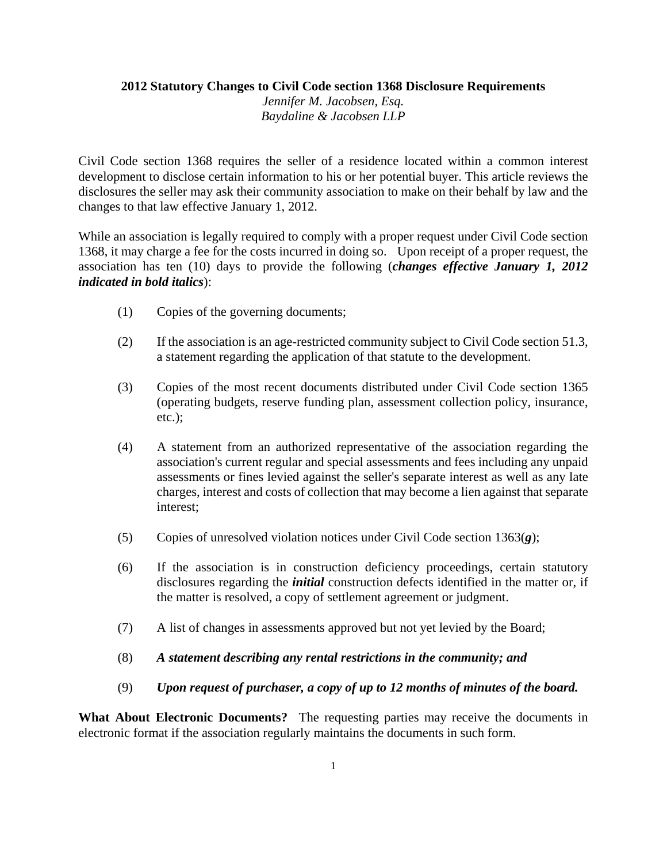## **2012 Statutory Changes to Civil Code section 1368 Disclosure Requirements**

*Jennifer M. Jacobsen, Esq. Baydaline & Jacobsen LLP* 

Civil Code section 1368 requires the seller of a residence located within a common interest development to disclose certain information to his or her potential buyer. This article reviews the disclosures the seller may ask their community association to make on their behalf by law and the changes to that law effective January 1, 2012.

While an association is legally required to comply with a proper request under Civil Code section 1368, it may charge a fee for the costs incurred in doing so. Upon receipt of a proper request, the association has ten (10) days to provide the following (*changes effective January 1, 2012 indicated in bold italics*):

- (1) Copies of the governing documents;
- (2) If the association is an age-restricted community subject to Civil Code section 51.3, a statement regarding the application of that statute to the development.
- (3) Copies of the most recent documents distributed under Civil Code section 1365 (operating budgets, reserve funding plan, assessment collection policy, insurance, etc.);
- (4) A statement from an authorized representative of the association regarding the association's current regular and special assessments and fees including any unpaid assessments or fines levied against the seller's separate interest as well as any late charges, interest and costs of collection that may become a lien against that separate interest;
- (5) Copies of unresolved violation notices under Civil Code section  $1363(g)$ ;
- (6) If the association is in construction deficiency proceedings, certain statutory disclosures regarding the *initial* construction defects identified in the matter or, if the matter is resolved, a copy of settlement agreement or judgment.
- (7) A list of changes in assessments approved but not yet levied by the Board;
- (8) *A statement describing any rental restrictions in the community; and*
- (9) *Upon request of purchaser, a copy of up to 12 months of minutes of the board.*

**What About Electronic Documents?** The requesting parties may receive the documents in electronic format if the association regularly maintains the documents in such form.